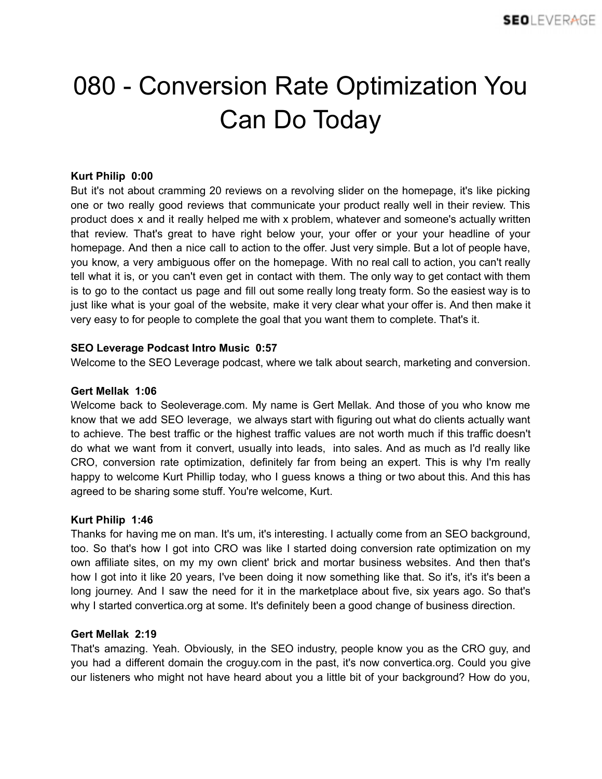# 080 - Conversion Rate Optimization You Can Do Today

# **Kurt Philip 0:00**

But it's not about cramming 20 reviews on a revolving slider on the homepage, it's like picking one or two really good reviews that communicate your product really well in their review. This product does x and it really helped me with x problem, whatever and someone's actually written that review. That's great to have right below your, your offer or your your headline of your homepage. And then a nice call to action to the offer. Just very simple. But a lot of people have, you know, a very ambiguous offer on the homepage. With no real call to action, you can't really tell what it is, or you can't even get in contact with them. The only way to get contact with them is to go to the contact us page and fill out some really long treaty form. So the easiest way is to just like what is your goal of the website, make it very clear what your offer is. And then make it very easy to for people to complete the goal that you want them to complete. That's it.

# **SEO Leverage Podcast Intro Music 0:57**

Welcome to the SEO Leverage podcast, where we talk about search, marketing and conversion.

## **Gert Mellak 1:06**

Welcome back to Seoleverage.com. My name is Gert Mellak. And those of you who know me know that we add SEO leverage, we always start with figuring out what do clients actually want to achieve. The best traffic or the highest traffic values are not worth much if this traffic doesn't do what we want from it convert, usually into leads, into sales. And as much as I'd really like CRO, conversion rate optimization, definitely far from being an expert. This is why I'm really happy to welcome Kurt Phillip today, who I guess knows a thing or two about this. And this has agreed to be sharing some stuff. You're welcome, Kurt.

## **Kurt Philip 1:46**

Thanks for having me on man. It's um, it's interesting. I actually come from an SEO background, too. So that's how I got into CRO was like I started doing conversion rate optimization on my own affiliate sites, on my my own client' brick and mortar business websites. And then that's how I got into it like 20 years, I've been doing it now something like that. So it's, it's it's been a long journey. And I saw the need for it in the marketplace about five, six years ago. So that's why I started convertica.org at some. It's definitely been a good change of business direction.

## **Gert Mellak 2:19**

That's amazing. Yeah. Obviously, in the SEO industry, people know you as the CRO guy, and you had a different domain the croguy.com in the past, it's now convertica.org. Could you give our listeners who might not have heard about you a little bit of your background? How do you,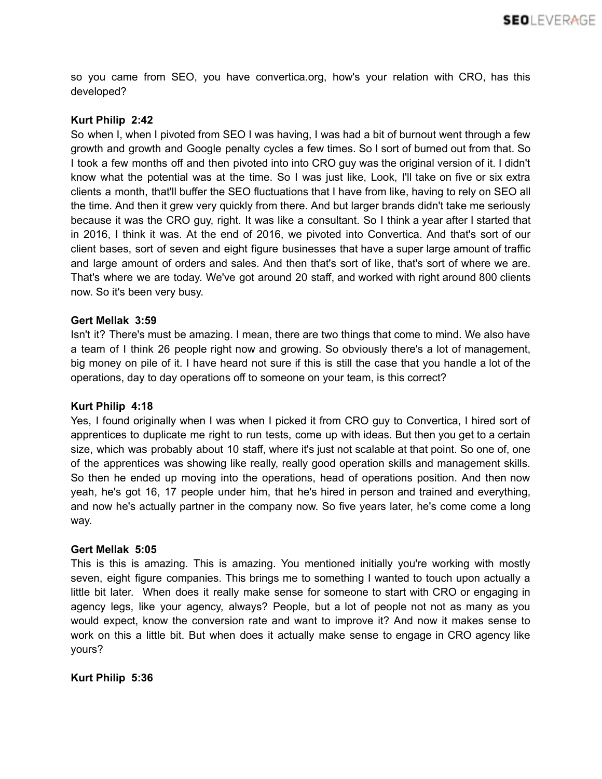so you came from SEO, you have convertica.org, how's your relation with CRO, has this developed?

# **Kurt Philip 2:42**

So when I, when I pivoted from SEO I was having, I was had a bit of burnout went through a few growth and growth and Google penalty cycles a few times. So I sort of burned out from that. So I took a few months off and then pivoted into into CRO guy was the original version of it. I didn't know what the potential was at the time. So I was just like, Look, I'll take on five or six extra clients a month, that'll buffer the SEO fluctuations that I have from like, having to rely on SEO all the time. And then it grew very quickly from there. And but larger brands didn't take me seriously because it was the CRO guy, right. It was like a consultant. So I think a year after I started that in 2016, I think it was. At the end of 2016, we pivoted into Convertica. And that's sort of our client bases, sort of seven and eight figure businesses that have a super large amount of traffic and large amount of orders and sales. And then that's sort of like, that's sort of where we are. That's where we are today. We've got around 20 staff, and worked with right around 800 clients now. So it's been very busy.

## **Gert Mellak 3:59**

Isn't it? There's must be amazing. I mean, there are two things that come to mind. We also have a team of I think 26 people right now and growing. So obviously there's a lot of management, big money on pile of it. I have heard not sure if this is still the case that you handle a lot of the operations, day to day operations off to someone on your team, is this correct?

## **Kurt Philip 4:18**

Yes, I found originally when I was when I picked it from CRO guy to Convertica, I hired sort of apprentices to duplicate me right to run tests, come up with ideas. But then you get to a certain size, which was probably about 10 staff, where it's just not scalable at that point. So one of, one of the apprentices was showing like really, really good operation skills and management skills. So then he ended up moving into the operations, head of operations position. And then now yeah, he's got 16, 17 people under him, that he's hired in person and trained and everything, and now he's actually partner in the company now. So five years later, he's come come a long way.

## **Gert Mellak 5:05**

This is this is amazing. This is amazing. You mentioned initially you're working with mostly seven, eight figure companies. This brings me to something I wanted to touch upon actually a little bit later. When does it really make sense for someone to start with CRO or engaging in agency legs, like your agency, always? People, but a lot of people not not as many as you would expect, know the conversion rate and want to improve it? And now it makes sense to work on this a little bit. But when does it actually make sense to engage in CRO agency like yours?

## **Kurt Philip 5:36**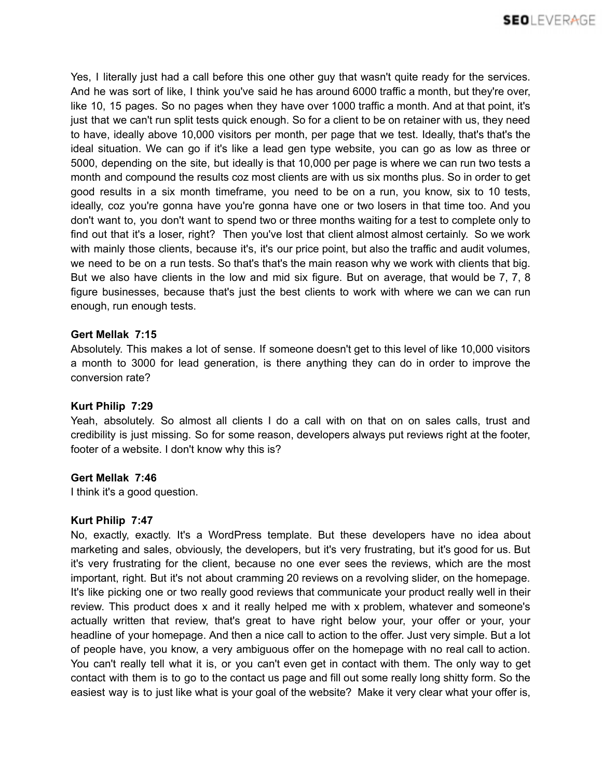Yes, I literally just had a call before this one other guy that wasn't quite ready for the services. And he was sort of like, I think you've said he has around 6000 traffic a month, but they're over, like 10, 15 pages. So no pages when they have over 1000 traffic a month. And at that point, it's just that we can't run split tests quick enough. So for a client to be on retainer with us, they need to have, ideally above 10,000 visitors per month, per page that we test. Ideally, that's that's the ideal situation. We can go if it's like a lead gen type website, you can go as low as three or 5000, depending on the site, but ideally is that 10,000 per page is where we can run two tests a month and compound the results coz most clients are with us six months plus. So in order to get good results in a six month timeframe, you need to be on a run, you know, six to 10 tests, ideally, coz you're gonna have you're gonna have one or two losers in that time too. And you don't want to, you don't want to spend two or three months waiting for a test to complete only to find out that it's a loser, right? Then you've lost that client almost almost certainly. So we work with mainly those clients, because it's, it's our price point, but also the traffic and audit volumes, we need to be on a run tests. So that's that's the main reason why we work with clients that big. But we also have clients in the low and mid six figure. But on average, that would be 7, 7, 8 figure businesses, because that's just the best clients to work with where we can we can run enough, run enough tests.

# **Gert Mellak 7:15**

Absolutely. This makes a lot of sense. If someone doesn't get to this level of like 10,000 visitors a month to 3000 for lead generation, is there anything they can do in order to improve the conversion rate?

# **Kurt Philip 7:29**

Yeah, absolutely. So almost all clients I do a call with on that on on sales calls, trust and credibility is just missing. So for some reason, developers always put reviews right at the footer, footer of a website. I don't know why this is?

# **Gert Mellak 7:46**

I think it's a good question.

## **Kurt Philip 7:47**

No, exactly, exactly. It's a WordPress template. But these developers have no idea about marketing and sales, obviously, the developers, but it's very frustrating, but it's good for us. But it's very frustrating for the client, because no one ever sees the reviews, which are the most important, right. But it's not about cramming 20 reviews on a revolving slider, on the homepage. It's like picking one or two really good reviews that communicate your product really well in their review. This product does x and it really helped me with x problem, whatever and someone's actually written that review, that's great to have right below your, your offer or your, your headline of your homepage. And then a nice call to action to the offer. Just very simple. But a lot of people have, you know, a very ambiguous offer on the homepage with no real call to action. You can't really tell what it is, or you can't even get in contact with them. The only way to get contact with them is to go to the contact us page and fill out some really long shitty form. So the easiest way is to just like what is your goal of the website? Make it very clear what your offer is,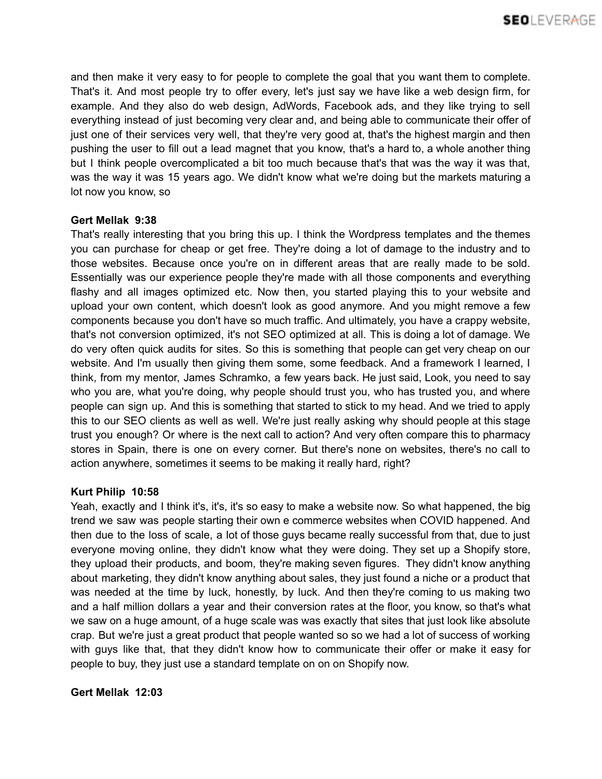and then make it very easy to for people to complete the goal that you want them to complete. That's it. And most people try to offer every, let's just say we have like a web design firm, for example. And they also do web design, AdWords, Facebook ads, and they like trying to sell everything instead of just becoming very clear and, and being able to communicate their offer of just one of their services very well, that they're very good at, that's the highest margin and then pushing the user to fill out a lead magnet that you know, that's a hard to, a whole another thing but I think people overcomplicated a bit too much because that's that was the way it was that, was the way it was 15 years ago. We didn't know what we're doing but the markets maturing a lot now you know, so

## **Gert Mellak 9:38**

That's really interesting that you bring this up. I think the Wordpress templates and the themes you can purchase for cheap or get free. They're doing a lot of damage to the industry and to those websites. Because once you're on in different areas that are really made to be sold. Essentially was our experience people they're made with all those components and everything flashy and all images optimized etc. Now then, you started playing this to your website and upload your own content, which doesn't look as good anymore. And you might remove a few components because you don't have so much traffic. And ultimately, you have a crappy website, that's not conversion optimized, it's not SEO optimized at all. This is doing a lot of damage. We do very often quick audits for sites. So this is something that people can get very cheap on our website. And I'm usually then giving them some, some feedback. And a framework I learned, I think, from my mentor, James Schramko, a few years back. He just said, Look, you need to say who you are, what you're doing, why people should trust you, who has trusted you, and where people can sign up. And this is something that started to stick to my head. And we tried to apply this to our SEO clients as well as well. We're just really asking why should people at this stage trust you enough? Or where is the next call to action? And very often compare this to pharmacy stores in Spain, there is one on every corner. But there's none on websites, there's no call to action anywhere, sometimes it seems to be making it really hard, right?

## **Kurt Philip 10:58**

Yeah, exactly and I think it's, it's, it's so easy to make a website now. So what happened, the big trend we saw was people starting their own e commerce websites when COVID happened. And then due to the loss of scale, a lot of those guys became really successful from that, due to just everyone moving online, they didn't know what they were doing. They set up a Shopify store, they upload their products, and boom, they're making seven figures. They didn't know anything about marketing, they didn't know anything about sales, they just found a niche or a product that was needed at the time by luck, honestly, by luck. And then they're coming to us making two and a half million dollars a year and their conversion rates at the floor, you know, so that's what we saw on a huge amount, of a huge scale was was exactly that sites that just look like absolute crap. But we're just a great product that people wanted so so we had a lot of success of working with guys like that, that they didn't know how to communicate their offer or make it easy for people to buy, they just use a standard template on on on Shopify now.

## **Gert Mellak 12:03**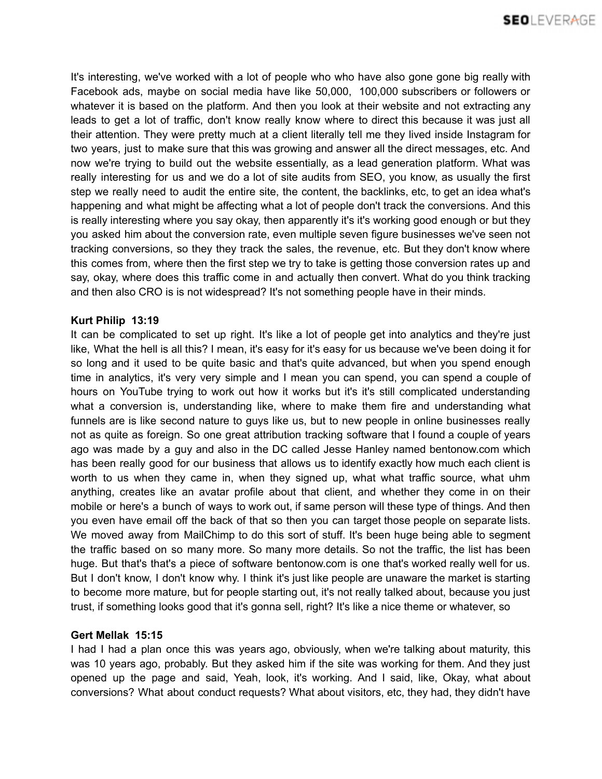It's interesting, we've worked with a lot of people who who have also gone gone big really with Facebook ads, maybe on social media have like 50,000, 100,000 subscribers or followers or whatever it is based on the platform. And then you look at their website and not extracting any leads to get a lot of traffic, don't know really know where to direct this because it was just all their attention. They were pretty much at a client literally tell me they lived inside Instagram for two years, just to make sure that this was growing and answer all the direct messages, etc. And now we're trying to build out the website essentially, as a lead generation platform. What was really interesting for us and we do a lot of site audits from SEO, you know, as usually the first step we really need to audit the entire site, the content, the backlinks, etc, to get an idea what's happening and what might be affecting what a lot of people don't track the conversions. And this is really interesting where you say okay, then apparently it's it's working good enough or but they you asked him about the conversion rate, even multiple seven figure businesses we've seen not tracking conversions, so they they track the sales, the revenue, etc. But they don't know where this comes from, where then the first step we try to take is getting those conversion rates up and say, okay, where does this traffic come in and actually then convert. What do you think tracking and then also CRO is is not widespread? It's not something people have in their minds.

# **Kurt Philip 13:19**

It can be complicated to set up right. It's like a lot of people get into analytics and they're just like, What the hell is all this? I mean, it's easy for it's easy for us because we've been doing it for so long and it used to be quite basic and that's quite advanced, but when you spend enough time in analytics, it's very very simple and I mean you can spend, you can spend a couple of hours on YouTube trying to work out how it works but it's it's still complicated understanding what a conversion is, understanding like, where to make them fire and understanding what funnels are is like second nature to guys like us, but to new people in online businesses really not as quite as foreign. So one great attribution tracking software that I found a couple of years ago was made by a guy and also in the DC called Jesse Hanley named bentonow.com which has been really good for our business that allows us to identify exactly how much each client is worth to us when they came in, when they signed up, what what traffic source, what uhm anything, creates like an avatar profile about that client, and whether they come in on their mobile or here's a bunch of ways to work out, if same person will these type of things. And then you even have email off the back of that so then you can target those people on separate lists. We moved away from MailChimp to do this sort of stuff. It's been huge being able to segment the traffic based on so many more. So many more details. So not the traffic, the list has been huge. But that's that's a piece of software bentonow.com is one that's worked really well for us. But I don't know, I don't know why. I think it's just like people are unaware the market is starting to become more mature, but for people starting out, it's not really talked about, because you just trust, if something looks good that it's gonna sell, right? It's like a nice theme or whatever, so

# **Gert Mellak 15:15**

I had I had a plan once this was years ago, obviously, when we're talking about maturity, this was 10 years ago, probably. But they asked him if the site was working for them. And they just opened up the page and said, Yeah, look, it's working. And I said, like, Okay, what about conversions? What about conduct requests? What about visitors, etc, they had, they didn't have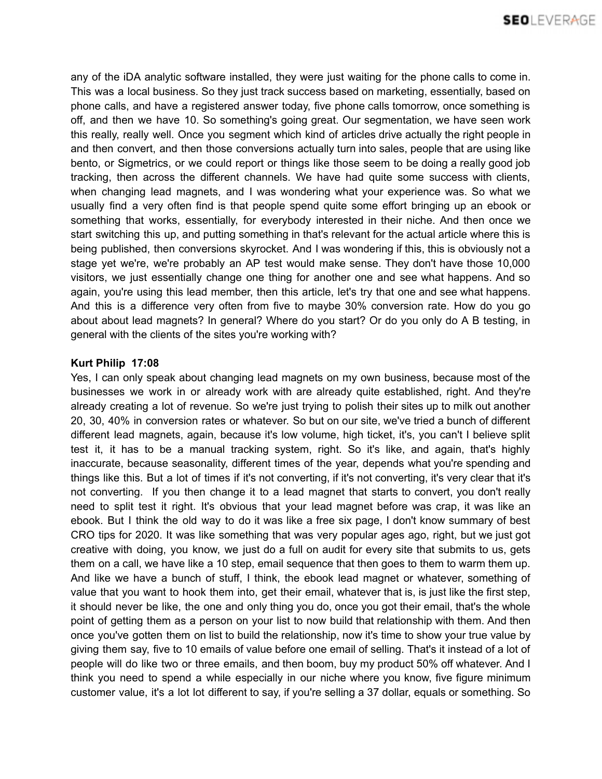any of the iDA analytic software installed, they were just waiting for the phone calls to come in. This was a local business. So they just track success based on marketing, essentially, based on phone calls, and have a registered answer today, five phone calls tomorrow, once something is off, and then we have 10. So something's going great. Our segmentation, we have seen work this really, really well. Once you segment which kind of articles drive actually the right people in and then convert, and then those conversions actually turn into sales, people that are using like bento, or Sigmetrics, or we could report or things like those seem to be doing a really good job tracking, then across the different channels. We have had quite some success with clients, when changing lead magnets, and I was wondering what your experience was. So what we usually find a very often find is that people spend quite some effort bringing up an ebook or something that works, essentially, for everybody interested in their niche. And then once we start switching this up, and putting something in that's relevant for the actual article where this is being published, then conversions skyrocket. And I was wondering if this, this is obviously not a stage yet we're, we're probably an AP test would make sense. They don't have those 10,000 visitors, we just essentially change one thing for another one and see what happens. And so again, you're using this lead member, then this article, let's try that one and see what happens. And this is a difference very often from five to maybe 30% conversion rate. How do you go about about lead magnets? In general? Where do you start? Or do you only do A B testing, in general with the clients of the sites you're working with?

# **Kurt Philip 17:08**

Yes, I can only speak about changing lead magnets on my own business, because most of the businesses we work in or already work with are already quite established, right. And they're already creating a lot of revenue. So we're just trying to polish their sites up to milk out another 20, 30, 40% in conversion rates or whatever. So but on our site, we've tried a bunch of different different lead magnets, again, because it's low volume, high ticket, it's, you can't I believe split test it, it has to be a manual tracking system, right. So it's like, and again, that's highly inaccurate, because seasonality, different times of the year, depends what you're spending and things like this. But a lot of times if it's not converting, if it's not converting, it's very clear that it's not converting. If you then change it to a lead magnet that starts to convert, you don't really need to split test it right. It's obvious that your lead magnet before was crap, it was like an ebook. But I think the old way to do it was like a free six page, I don't know summary of best CRO tips for 2020. It was like something that was very popular ages ago, right, but we just got creative with doing, you know, we just do a full on audit for every site that submits to us, gets them on a call, we have like a 10 step, email sequence that then goes to them to warm them up. And like we have a bunch of stuff, I think, the ebook lead magnet or whatever, something of value that you want to hook them into, get their email, whatever that is, is just like the first step, it should never be like, the one and only thing you do, once you got their email, that's the whole point of getting them as a person on your list to now build that relationship with them. And then once you've gotten them on list to build the relationship, now it's time to show your true value by giving them say, five to 10 emails of value before one email of selling. That's it instead of a lot of people will do like two or three emails, and then boom, buy my product 50% off whatever. And I think you need to spend a while especially in our niche where you know, five figure minimum customer value, it's a lot lot different to say, if you're selling a 37 dollar, equals or something. So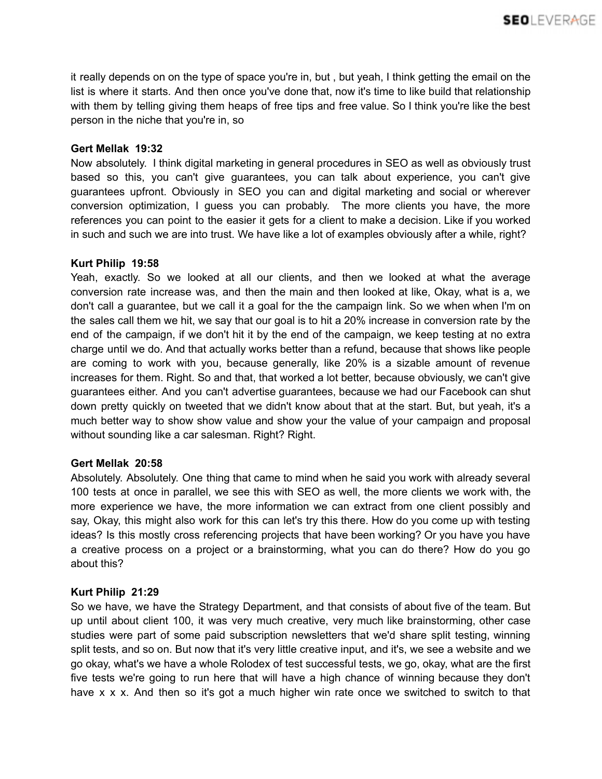it really depends on on the type of space you're in, but , but yeah, I think getting the email on the list is where it starts. And then once you've done that, now it's time to like build that relationship with them by telling giving them heaps of free tips and free value. So I think you're like the best person in the niche that you're in, so

# **Gert Mellak 19:32**

Now absolutely. I think digital marketing in general procedures in SEO as well as obviously trust based so this, you can't give guarantees, you can talk about experience, you can't give guarantees upfront. Obviously in SEO you can and digital marketing and social or wherever conversion optimization, I guess you can probably. The more clients you have, the more references you can point to the easier it gets for a client to make a decision. Like if you worked in such and such we are into trust. We have like a lot of examples obviously after a while, right?

# **Kurt Philip 19:58**

Yeah, exactly. So we looked at all our clients, and then we looked at what the average conversion rate increase was, and then the main and then looked at like, Okay, what is a, we don't call a guarantee, but we call it a goal for the the campaign link. So we when when I'm on the sales call them we hit, we say that our goal is to hit a 20% increase in conversion rate by the end of the campaign, if we don't hit it by the end of the campaign, we keep testing at no extra charge until we do. And that actually works better than a refund, because that shows like people are coming to work with you, because generally, like 20% is a sizable amount of revenue increases for them. Right. So and that, that worked a lot better, because obviously, we can't give guarantees either. And you can't advertise guarantees, because we had our Facebook can shut down pretty quickly on tweeted that we didn't know about that at the start. But, but yeah, it's a much better way to show show value and show your the value of your campaign and proposal without sounding like a car salesman. Right? Right.

## **Gert Mellak 20:58**

Absolutely. Absolutely. One thing that came to mind when he said you work with already several 100 tests at once in parallel, we see this with SEO as well, the more clients we work with, the more experience we have, the more information we can extract from one client possibly and say, Okay, this might also work for this can let's try this there. How do you come up with testing ideas? Is this mostly cross referencing projects that have been working? Or you have you have a creative process on a project or a brainstorming, what you can do there? How do you go about this?

# **Kurt Philip 21:29**

So we have, we have the Strategy Department, and that consists of about five of the team. But up until about client 100, it was very much creative, very much like brainstorming, other case studies were part of some paid subscription newsletters that we'd share split testing, winning split tests, and so on. But now that it's very little creative input, and it's, we see a website and we go okay, what's we have a whole Rolodex of test successful tests, we go, okay, what are the first five tests we're going to run here that will have a high chance of winning because they don't have x x x. And then so it's got a much higher win rate once we switched to switch to that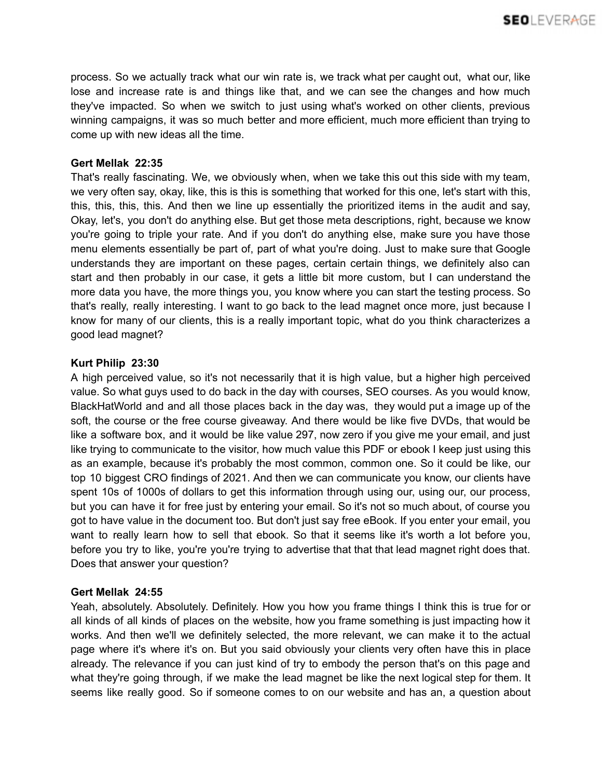process. So we actually track what our win rate is, we track what per caught out, what our, like lose and increase rate is and things like that, and we can see the changes and how much they've impacted. So when we switch to just using what's worked on other clients, previous winning campaigns, it was so much better and more efficient, much more efficient than trying to come up with new ideas all the time.

# **Gert Mellak 22:35**

That's really fascinating. We, we obviously when, when we take this out this side with my team, we very often say, okay, like, this is this is something that worked for this one, let's start with this, this, this, this, this. And then we line up essentially the prioritized items in the audit and say, Okay, let's, you don't do anything else. But get those meta descriptions, right, because we know you're going to triple your rate. And if you don't do anything else, make sure you have those menu elements essentially be part of, part of what you're doing. Just to make sure that Google understands they are important on these pages, certain certain things, we definitely also can start and then probably in our case, it gets a little bit more custom, but I can understand the more data you have, the more things you, you know where you can start the testing process. So that's really, really interesting. I want to go back to the lead magnet once more, just because I know for many of our clients, this is a really important topic, what do you think characterizes a good lead magnet?

# **Kurt Philip 23:30**

A high perceived value, so it's not necessarily that it is high value, but a higher high perceived value. So what guys used to do back in the day with courses, SEO courses. As you would know, BlackHatWorld and and all those places back in the day was, they would put a image up of the soft, the course or the free course giveaway. And there would be like five DVDs, that would be like a software box, and it would be like value 297, now zero if you give me your email, and just like trying to communicate to the visitor, how much value this PDF or ebook I keep just using this as an example, because it's probably the most common, common one. So it could be like, our top 10 biggest CRO findings of 2021. And then we can communicate you know, our clients have spent 10s of 1000s of dollars to get this information through using our, using our, our process, but you can have it for free just by entering your email. So it's not so much about, of course you got to have value in the document too. But don't just say free eBook. If you enter your email, you want to really learn how to sell that ebook. So that it seems like it's worth a lot before you, before you try to like, you're you're trying to advertise that that that lead magnet right does that. Does that answer your question?

## **Gert Mellak 24:55**

Yeah, absolutely. Absolutely. Definitely. How you how you frame things I think this is true for or all kinds of all kinds of places on the website, how you frame something is just impacting how it works. And then we'll we definitely selected, the more relevant, we can make it to the actual page where it's where it's on. But you said obviously your clients very often have this in place already. The relevance if you can just kind of try to embody the person that's on this page and what they're going through, if we make the lead magnet be like the next logical step for them. It seems like really good. So if someone comes to on our website and has an, a question about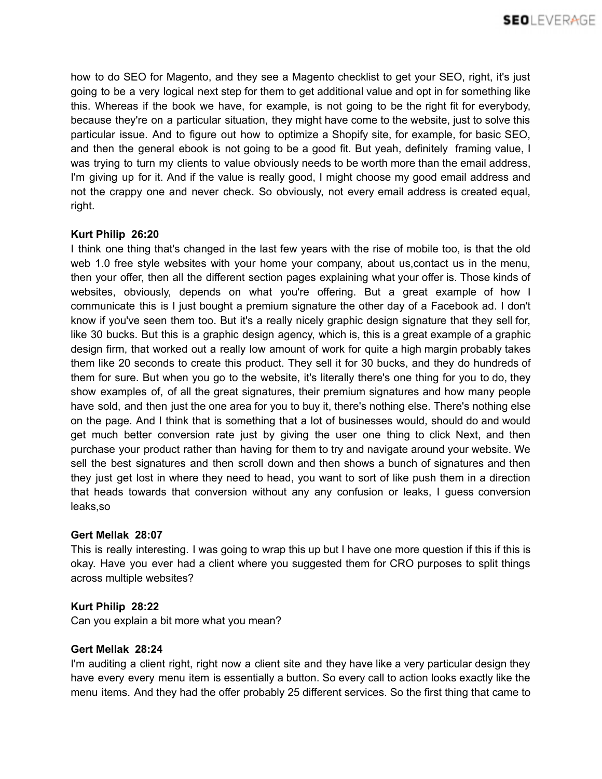how to do SEO for Magento, and they see a Magento checklist to get your SEO, right, it's just going to be a very logical next step for them to get additional value and opt in for something like this. Whereas if the book we have, for example, is not going to be the right fit for everybody, because they're on a particular situation, they might have come to the website, just to solve this particular issue. And to figure out how to optimize a Shopify site, for example, for basic SEO, and then the general ebook is not going to be a good fit. But yeah, definitely framing value, I was trying to turn my clients to value obviously needs to be worth more than the email address, I'm giving up for it. And if the value is really good, I might choose my good email address and not the crappy one and never check. So obviously, not every email address is created equal, right.

# **Kurt Philip 26:20**

I think one thing that's changed in the last few years with the rise of mobile too, is that the old web 1.0 free style websites with your home your company, about us,contact us in the menu, then your offer, then all the different section pages explaining what your offer is. Those kinds of websites, obviously, depends on what you're offering. But a great example of how I communicate this is I just bought a premium signature the other day of a Facebook ad. I don't know if you've seen them too. But it's a really nicely graphic design signature that they sell for, like 30 bucks. But this is a graphic design agency, which is, this is a great example of a graphic design firm, that worked out a really low amount of work for quite a high margin probably takes them like 20 seconds to create this product. They sell it for 30 bucks, and they do hundreds of them for sure. But when you go to the website, it's literally there's one thing for you to do, they show examples of, of all the great signatures, their premium signatures and how many people have sold, and then just the one area for you to buy it, there's nothing else. There's nothing else on the page. And I think that is something that a lot of businesses would, should do and would get much better conversion rate just by giving the user one thing to click Next, and then purchase your product rather than having for them to try and navigate around your website. We sell the best signatures and then scroll down and then shows a bunch of signatures and then they just get lost in where they need to head, you want to sort of like push them in a direction that heads towards that conversion without any any confusion or leaks, I guess conversion leaks,so

## **Gert Mellak 28:07**

This is really interesting. I was going to wrap this up but I have one more question if this if this is okay. Have you ever had a client where you suggested them for CRO purposes to split things across multiple websites?

# **Kurt Philip 28:22**

Can you explain a bit more what you mean?

## **Gert Mellak 28:24**

I'm auditing a client right, right now a client site and they have like a very particular design they have every every menu item is essentially a button. So every call to action looks exactly like the menu items. And they had the offer probably 25 different services. So the first thing that came to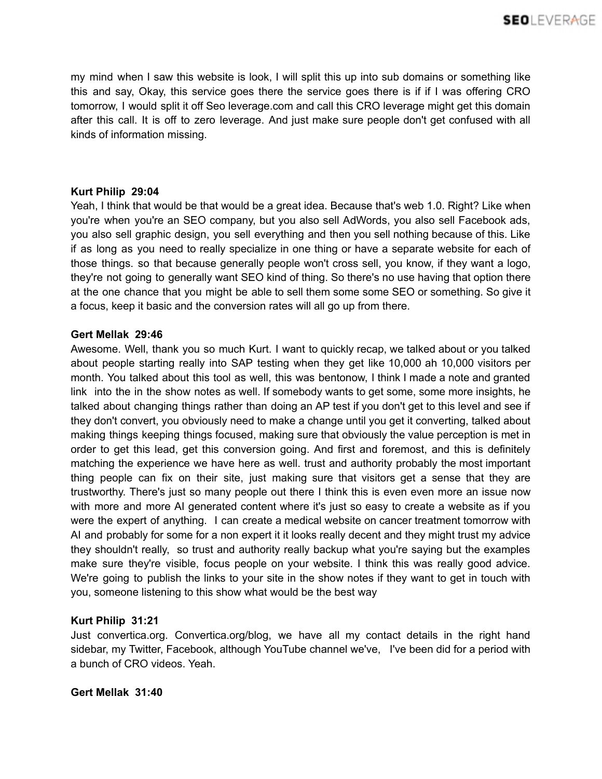my mind when I saw this website is look, I will split this up into sub domains or something like this and say, Okay, this service goes there the service goes there is if if I was offering CRO tomorrow, I would split it off Seo leverage.com and call this CRO leverage might get this domain after this call. It is off to zero leverage. And just make sure people don't get confused with all kinds of information missing.

## **Kurt Philip 29:04**

Yeah, I think that would be that would be a great idea. Because that's web 1.0. Right? Like when you're when you're an SEO company, but you also sell AdWords, you also sell Facebook ads, you also sell graphic design, you sell everything and then you sell nothing because of this. Like if as long as you need to really specialize in one thing or have a separate website for each of those things. so that because generally people won't cross sell, you know, if they want a logo, they're not going to generally want SEO kind of thing. So there's no use having that option there at the one chance that you might be able to sell them some some SEO or something. So give it a focus, keep it basic and the conversion rates will all go up from there.

# **Gert Mellak 29:46**

Awesome. Well, thank you so much Kurt. I want to quickly recap, we talked about or you talked about people starting really into SAP testing when they get like 10,000 ah 10,000 visitors per month. You talked about this tool as well, this was bentonow, I think I made a note and granted link into the in the show notes as well. If somebody wants to get some, some more insights, he talked about changing things rather than doing an AP test if you don't get to this level and see if they don't convert, you obviously need to make a change until you get it converting, talked about making things keeping things focused, making sure that obviously the value perception is met in order to get this lead, get this conversion going. And first and foremost, and this is definitely matching the experience we have here as well. trust and authority probably the most important thing people can fix on their site, just making sure that visitors get a sense that they are trustworthy. There's just so many people out there I think this is even even more an issue now with more and more AI generated content where it's just so easy to create a website as if you were the expert of anything. I can create a medical website on cancer treatment tomorrow with AI and probably for some for a non expert it it looks really decent and they might trust my advice they shouldn't really, so trust and authority really backup what you're saying but the examples make sure they're visible, focus people on your website. I think this was really good advice. We're going to publish the links to your site in the show notes if they want to get in touch with you, someone listening to this show what would be the best way

# **Kurt Philip 31:21**

Just convertica.org. Convertica.org/blog, we have all my contact details in the right hand sidebar, my Twitter, Facebook, although YouTube channel we've, I've been did for a period with a bunch of CRO videos. Yeah.

## **Gert Mellak 31:40**